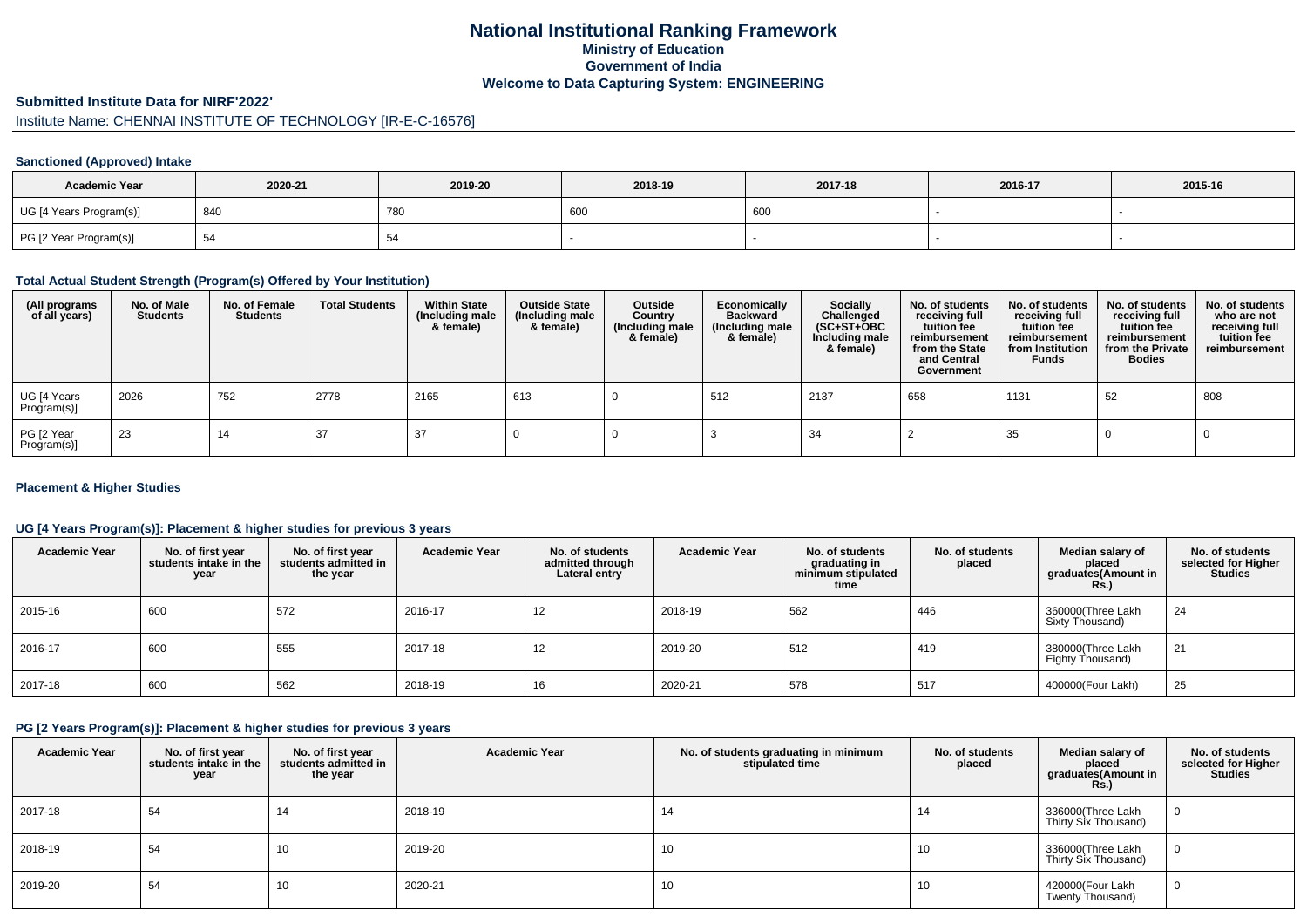## **National Institutional Ranking FrameworkMinistry of Education Government of IndiaWelcome to Data Capturing System: ENGINEERING**

#### **Submitted Institute Data for NIRF'2022'**

# Institute Name: CHENNAI INSTITUTE OF TECHNOLOGY [IR-E-C-16576]

#### **Sanctioned (Approved) Intake**

| <b>Academic Year</b>    | 2020-21 | 2019-20    | 2018-19 | 2017-18 | 2016-17 | 2015-16 |
|-------------------------|---------|------------|---------|---------|---------|---------|
| UG [4 Years Program(s)] | 840     | <b>780</b> | 600     | , 600   |         |         |
| PG [2 Year Program(s)]  | -ت      |            |         |         |         |         |

#### **Total Actual Student Strength (Program(s) Offered by Your Institution)**

| (All programs<br>of all years) | No. of Male<br><b>Students</b> | No. of Female<br><b>Students</b> | <b>Total Students</b> | <b>Within State</b><br>(Including male<br>& female) | <b>Outside State</b><br>(Including male<br>& female) | Outside<br>Country<br>(Including male<br>& female) | Economically<br><b>Backward</b><br>(Including male<br>& female) | <b>Socially</b><br>Challenged<br>$(SC+ST+OBC)$<br>Including male<br>& female) | No. of students<br>receiving full<br>tuition fee<br>reimbursement<br>from the State<br>and Central<br>Government | No. of students<br>receiving full<br>tuition fee<br>reimbursement<br>from Institution<br><b>Funds</b> | No. of students<br>receiving full<br>tuition fee<br>reimbursement<br>from the Private<br><b>Bodies</b> | No. of students<br>who are not<br>receiving full<br>tuition fee<br>reimbursement |
|--------------------------------|--------------------------------|----------------------------------|-----------------------|-----------------------------------------------------|------------------------------------------------------|----------------------------------------------------|-----------------------------------------------------------------|-------------------------------------------------------------------------------|------------------------------------------------------------------------------------------------------------------|-------------------------------------------------------------------------------------------------------|--------------------------------------------------------------------------------------------------------|----------------------------------------------------------------------------------|
| UG [4 Years<br>Program(s)]     | 2026                           | 752                              | 2778                  | 2165                                                | 613                                                  |                                                    | 512                                                             | 2137                                                                          | 658                                                                                                              | 1131                                                                                                  | 52                                                                                                     | 808                                                                              |
| PG [2 Year<br>Program(s)]      | -23                            | 14                               | 37                    | 37                                                  |                                                      |                                                    |                                                                 | -34                                                                           |                                                                                                                  | 35                                                                                                    |                                                                                                        |                                                                                  |

#### **Placement & Higher Studies**

#### **UG [4 Years Program(s)]: Placement & higher studies for previous 3 years**

| <b>Academic Year</b> | No. of first year<br>students intake in the<br>year | No. of first vear<br>students admitted in<br>the year | <b>Academic Year</b> | No. of students<br>admitted through<br>Lateral entry | <b>Academic Year</b> | No. of students<br>graduating in<br>minimum stipulated<br>time | No. of students<br>placed | Median salary of<br>placed<br>graduates(Amount in<br>Rs. | No. of students<br>selected for Higher<br><b>Studies</b> |
|----------------------|-----------------------------------------------------|-------------------------------------------------------|----------------------|------------------------------------------------------|----------------------|----------------------------------------------------------------|---------------------------|----------------------------------------------------------|----------------------------------------------------------|
| 2015-16              | 600                                                 | 572                                                   | 2016-17              | 12                                                   | 2018-19              | 562                                                            | 446                       | 360000(Three Lakh<br>Sixty Thousand)                     | 24                                                       |
| 2016-17              | 600                                                 | 555                                                   | 2017-18              | 12                                                   | 2019-20              | 512                                                            | 419                       | 380000(Three Lakh<br>Eighty Thousand)                    | 21                                                       |
| 2017-18              | 600                                                 | 562                                                   | 2018-19              | 16                                                   | 2020-21              | 578                                                            | 517                       | 400000(Four Lakh)                                        | 25                                                       |

#### **PG [2 Years Program(s)]: Placement & higher studies for previous 3 years**

| <b>Academic Year</b> | No. of first year<br>students intake in the<br>year | No. of first year<br>students admitted in<br>the year | <b>Academic Year</b> | No. of students graduating in minimum<br>stipulated time | No. of students<br>placed | Median salary of<br>placed<br>graduates(Amount in<br><b>Rs.)</b> | No. of students<br>selected for Higher<br><b>Studies</b> |
|----------------------|-----------------------------------------------------|-------------------------------------------------------|----------------------|----------------------------------------------------------|---------------------------|------------------------------------------------------------------|----------------------------------------------------------|
| 2017-18              | 54                                                  | 14                                                    | 2018-19              | 14                                                       | 14                        | 336000(Three Lakh<br>Thirty Six Thousand)                        | 0                                                        |
| 2018-19              | 54                                                  | 1 U                                                   | 2019-20              | 10                                                       | 10                        | 336000(Three Lakh<br>Thirty Six Thousand)                        | 0                                                        |
| 2019-20              | 54                                                  | 1 U                                                   | 2020-21              | 10                                                       | 10                        | 420000(Four Lakh<br>Twenty Thousand)                             | 0                                                        |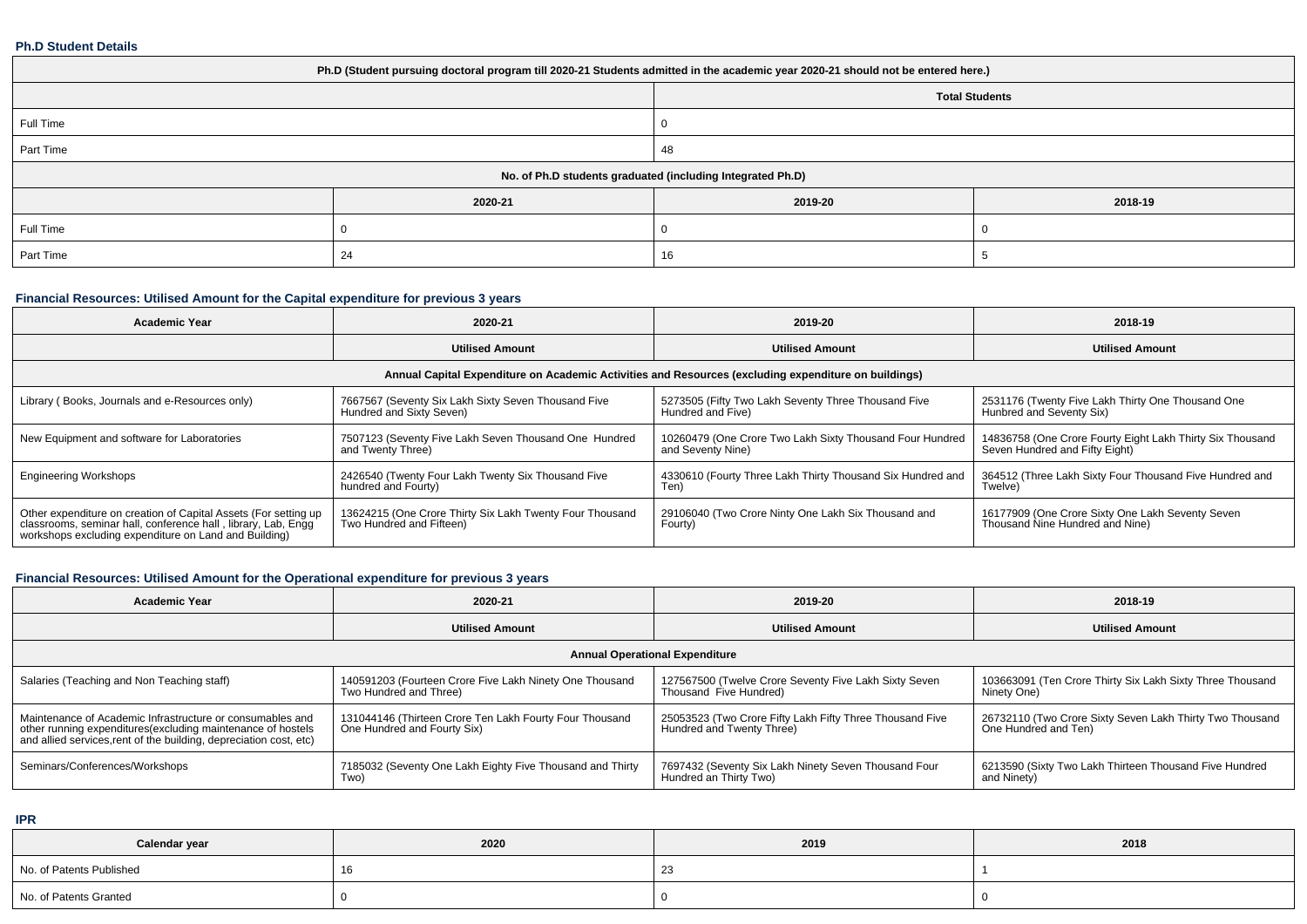#### **Ph.D Student Details**

| Ph.D (Student pursuing doctoral program till 2020-21 Students admitted in the academic year 2020-21 should not be entered here.) |         |                                                            |         |  |  |  |  |
|----------------------------------------------------------------------------------------------------------------------------------|---------|------------------------------------------------------------|---------|--|--|--|--|
| <b>Total Students</b>                                                                                                            |         |                                                            |         |  |  |  |  |
| Full Time                                                                                                                        |         |                                                            |         |  |  |  |  |
| Part Time                                                                                                                        |         | 48                                                         |         |  |  |  |  |
|                                                                                                                                  |         | No. of Ph.D students graduated (including Integrated Ph.D) |         |  |  |  |  |
|                                                                                                                                  | 2020-21 | 2019-20                                                    | 2018-19 |  |  |  |  |
| Full Time                                                                                                                        |         |                                                            |         |  |  |  |  |
| Part Time                                                                                                                        | 24      | 16                                                         |         |  |  |  |  |

# **Financial Resources: Utilised Amount for the Capital expenditure for previous 3 years**

| <b>Academic Year</b>                                                                                                                                                                      | 2020-21                                                                                              | 2019-20                                                                       | 2018-19                                                                                     |  |  |  |  |  |  |
|-------------------------------------------------------------------------------------------------------------------------------------------------------------------------------------------|------------------------------------------------------------------------------------------------------|-------------------------------------------------------------------------------|---------------------------------------------------------------------------------------------|--|--|--|--|--|--|
|                                                                                                                                                                                           | <b>Utilised Amount</b>                                                                               | <b>Utilised Amount</b>                                                        | <b>Utilised Amount</b>                                                                      |  |  |  |  |  |  |
|                                                                                                                                                                                           | Annual Capital Expenditure on Academic Activities and Resources (excluding expenditure on buildings) |                                                                               |                                                                                             |  |  |  |  |  |  |
| Library (Books, Journals and e-Resources only)                                                                                                                                            | 7667567 (Seventy Six Lakh Sixty Seven Thousand Five<br>Hundred and Sixty Seven)                      | 5273505 (Fifty Two Lakh Seventy Three Thousand Five<br>Hundred and Five)      | 2531176 (Twenty Five Lakh Thirty One Thousand One<br>Hunbred and Seventy Six)               |  |  |  |  |  |  |
| New Equipment and software for Laboratories                                                                                                                                               | 7507123 (Seventy Five Lakh Seven Thousand One Hundred<br>and Twenty Three)                           | 10260479 (One Crore Two Lakh Sixty Thousand Four Hundred<br>and Seventy Nine) | 14836758 (One Crore Fourty Eight Lakh Thirty Six Thousand<br>Seven Hundred and Fifty Eight) |  |  |  |  |  |  |
| <b>Engineering Workshops</b>                                                                                                                                                              | 2426540 (Twenty Four Lakh Twenty Six Thousand Five<br>hundred and Fourty)                            | 4330610 (Fourty Three Lakh Thirty Thousand Six Hundred and<br>Ten)            | 364512 (Three Lakh Sixty Four Thousand Five Hundred and<br>Twelve)                          |  |  |  |  |  |  |
| Other expenditure on creation of Capital Assets (For setting up<br>classrooms, seminar hall, conference hall, library, Lab, Engg<br>workshops excluding expenditure on Land and Building) | 13624215 (One Crore Thirty Six Lakh Twenty Four Thousand<br>Two Hundred and Fifteen)                 | 29106040 (Two Crore Ninty One Lakh Six Thousand and<br>Fourty)                | 16177909 (One Crore Sixty One Lakh Seventy Seven<br>Thousand Nine Hundred and Nine)         |  |  |  |  |  |  |

# **Financial Resources: Utilised Amount for the Operational expenditure for previous 3 years**

| <b>Academic Year</b>                                                                                                                                                                            | 2020-21                                                                                | 2019-20                                                                               | 2018-19                                                                          |  |  |  |  |  |
|-------------------------------------------------------------------------------------------------------------------------------------------------------------------------------------------------|----------------------------------------------------------------------------------------|---------------------------------------------------------------------------------------|----------------------------------------------------------------------------------|--|--|--|--|--|
|                                                                                                                                                                                                 | <b>Utilised Amount</b>                                                                 | <b>Utilised Amount</b>                                                                | <b>Utilised Amount</b>                                                           |  |  |  |  |  |
| <b>Annual Operational Expenditure</b>                                                                                                                                                           |                                                                                        |                                                                                       |                                                                                  |  |  |  |  |  |
| Salaries (Teaching and Non Teaching staff)                                                                                                                                                      | 140591203 (Fourteen Crore Five Lakh Ninety One Thousand<br>Two Hundred and Three)      | 127567500 (Twelve Crore Seventy Five Lakh Sixty Seven<br>Thousand Five Hundred)       | 103663091 (Ten Crore Thirty Six Lakh Sixty Three Thousand<br>Ninety One)         |  |  |  |  |  |
| Maintenance of Academic Infrastructure or consumables and<br>other running expenditures (excluding maintenance of hostels<br>and allied services, rent of the building, depreciation cost, etc) | 131044146 (Thirteen Crore Ten Lakh Fourty Four Thousand<br>One Hundred and Fourty Six) | 25053523 (Two Crore Fifty Lakh Fifty Three Thousand Five<br>Hundred and Twenty Three) | 26732110 (Two Crore Sixty Seven Lakh Thirty Two Thousand<br>One Hundred and Ten) |  |  |  |  |  |
| Seminars/Conferences/Workshops                                                                                                                                                                  | 7185032 (Seventy One Lakh Eighty Five Thousand and Thirty<br>Two)                      | 7697432 (Seventy Six Lakh Ninety Seven Thousand Four<br>Hundred an Thirty Two)        | 6213590 (Sixty Two Lakh Thirteen Thousand Five Hundred<br>and Ninety)            |  |  |  |  |  |

**IPR**

| Calendar year            | 2020 | 2019 | 2018 |
|--------------------------|------|------|------|
| No. of Patents Published |      |      |      |
| No. of Patents Granted   |      |      |      |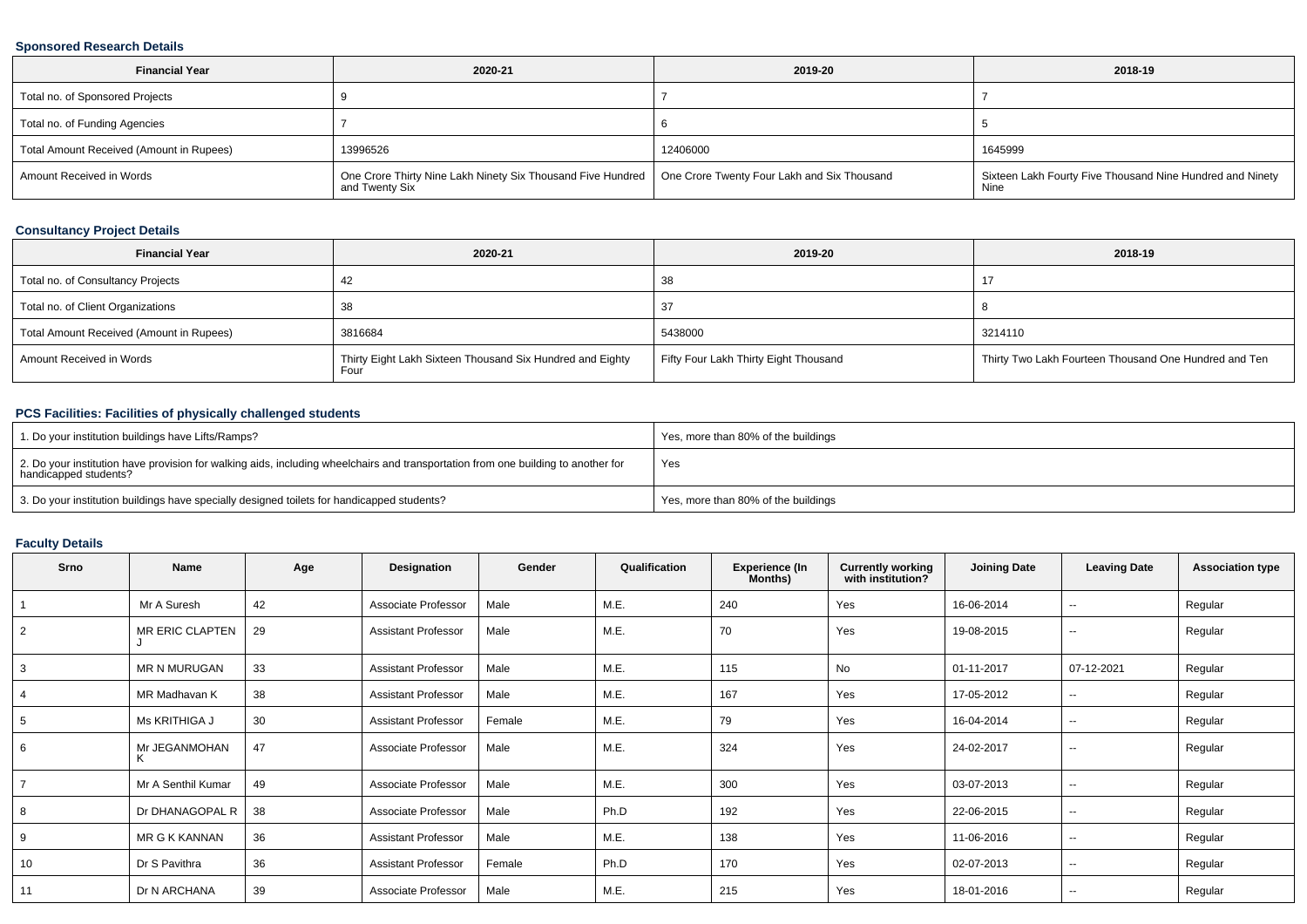### **Sponsored Research Details**

| <b>Financial Year</b>                    | 2020-21                                                                                                                     | 2019-20  | 2018-19                                                           |
|------------------------------------------|-----------------------------------------------------------------------------------------------------------------------------|----------|-------------------------------------------------------------------|
| Total no. of Sponsored Projects          |                                                                                                                             |          |                                                                   |
| Total no. of Funding Agencies            |                                                                                                                             |          |                                                                   |
| Total Amount Received (Amount in Rupees) | 13996526                                                                                                                    | 12406000 | 1645999                                                           |
| Amount Received in Words                 | One Crore Thirty Nine Lakh Ninety Six Thousand Five Hundred   One Crore Twenty Four Lakh and Six Thousand<br>and Twenty Six |          | Sixteen Lakh Fourty Five Thousand Nine Hundred and Ninety<br>Nine |

### **Consultancy Project Details**

| <b>Financial Year</b>                    | 2020-21                                                           | 2019-20                               | 2018-19                                               |
|------------------------------------------|-------------------------------------------------------------------|---------------------------------------|-------------------------------------------------------|
| Total no. of Consultancy Projects        | -42                                                               | 38                                    |                                                       |
| Total no. of Client Organizations        |                                                                   | -37                                   |                                                       |
| Total Amount Received (Amount in Rupees) | 3816684                                                           | 5438000                               | 3214110                                               |
| Amount Received in Words                 | Thirty Eight Lakh Sixteen Thousand Six Hundred and Eighty<br>Four | Fifty Four Lakh Thirty Eight Thousand | Thirty Two Lakh Fourteen Thousand One Hundred and Ten |

### **PCS Facilities: Facilities of physically challenged students**

| 1. Do your institution buildings have Lifts/Ramps?                                                                                                         | Yes, more than 80% of the buildings |
|------------------------------------------------------------------------------------------------------------------------------------------------------------|-------------------------------------|
| 2. Do your institution have provision for walking aids, including wheelchairs and transportation from one building to another for<br>handicapped students? | Yes                                 |
| 3. Do your institution buildings have specially designed toilets for handicapped students?                                                                 | Yes, more than 80% of the buildings |

### **Faculty Details**

| <b>Srno</b> | Name                   | Age | Designation                | Gender | Qualification | Experience (In<br>Months) | Currently working<br>with institution? | <b>Joining Date</b> | <b>Leaving Date</b>      | <b>Association type</b> |
|-------------|------------------------|-----|----------------------------|--------|---------------|---------------------------|----------------------------------------|---------------------|--------------------------|-------------------------|
|             | Mr A Suresh            | 42  | Associate Professor        | Male   | M.E.          | 240                       | Yes                                    | 16-06-2014          | $\sim$                   | Regular                 |
| 2           | <b>MR ERIC CLAPTEN</b> | 29  | <b>Assistant Professor</b> | Male   | M.E.          | 70                        | Yes                                    | 19-08-2015          | $\overline{\phantom{a}}$ | Regular                 |
|             | MR N MURUGAN           | 33  | <b>Assistant Professor</b> | Male   | M.E.          | 115                       | No                                     | 01-11-2017          | 07-12-2021               | Regular                 |
|             | MR Madhavan K          | 38  | <b>Assistant Professor</b> | Male   | M.E.          | 167                       | Yes                                    | 17-05-2012          | --                       | Regular                 |
| 5           | Ms KRITHIGA J          | 30  | <b>Assistant Professor</b> | Female | M.E.          | 79                        | Yes                                    | 16-04-2014          | $\overline{\phantom{a}}$ | Regular                 |
| 6           | Mr JEGANMOHAN<br>ĸ     | 47  | Associate Professor        | Male   | M.E.          | 324                       | Yes                                    | 24-02-2017          | $\sim$                   | Regular                 |
|             | Mr A Senthil Kumar     | 49  | Associate Professor        | Male   | M.E.          | 300                       | Yes                                    | 03-07-2013          | --                       | Regular                 |
| 8           | Dr DHANAGOPAL R        | 38  | Associate Professor        | Male   | Ph.D          | 192                       | Yes                                    | 22-06-2015          | $\sim$                   | Regular                 |
|             | MR G K KANNAN          | 36  | <b>Assistant Professor</b> | Male   | M.E.          | 138                       | Yes                                    | 11-06-2016          | $\sim$                   | Regular                 |
| 10          | Dr S Pavithra          | 36  | <b>Assistant Professor</b> | Female | Ph.D          | 170                       | Yes                                    | 02-07-2013          | --                       | Regular                 |
| 11          | Dr N ARCHANA           | 39  | Associate Professor        | Male   | M.E.          | 215                       | Yes                                    | 18-01-2016          | $\sim$                   | Regular                 |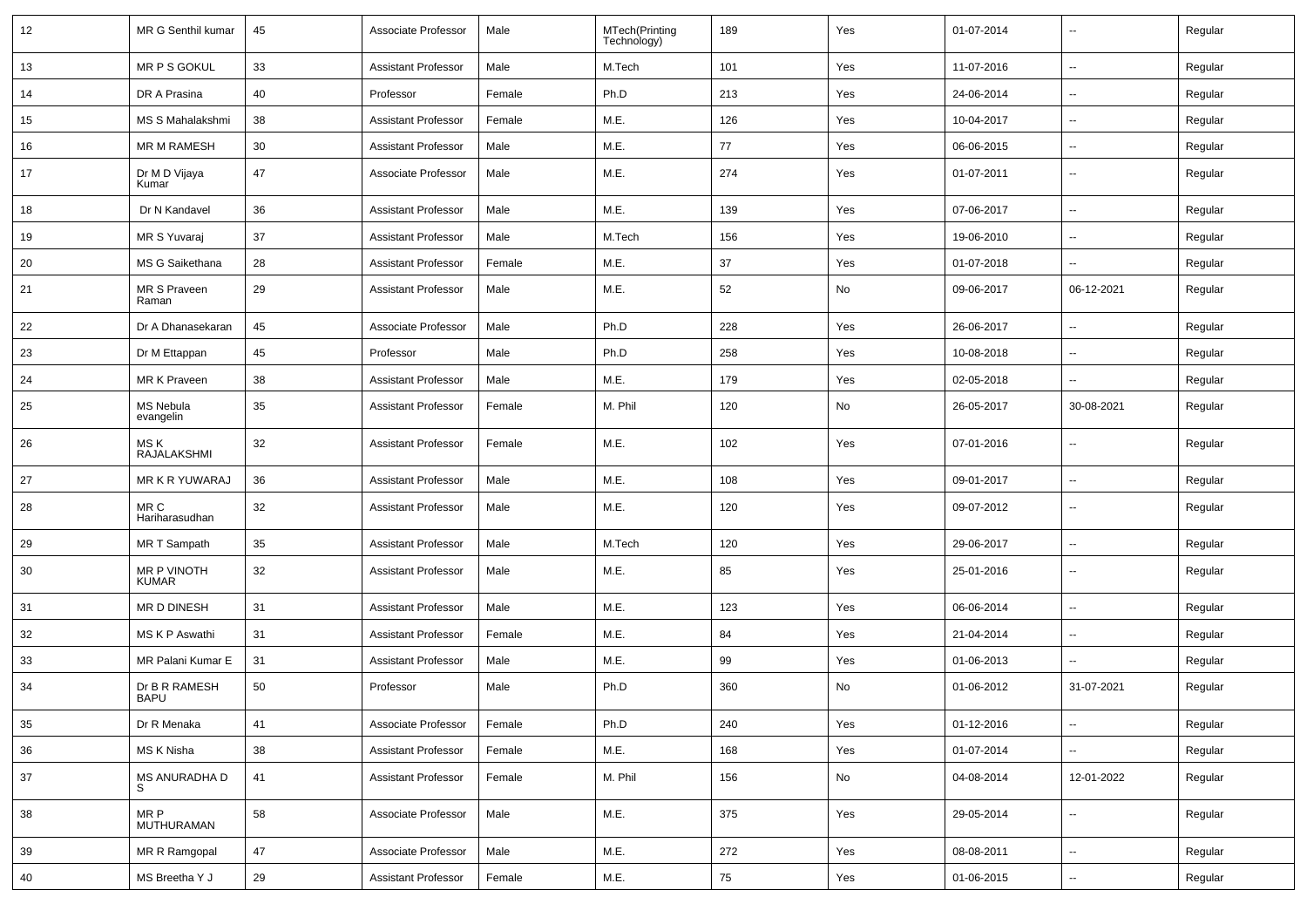| 12     | MR G Senthil kumar            | 45 | Associate Professor        | Male   | MTech(Printing<br>Technology) | 189 | Yes | 01-07-2014 | $\overline{\phantom{a}}$ | Regular |
|--------|-------------------------------|----|----------------------------|--------|-------------------------------|-----|-----|------------|--------------------------|---------|
| 13     | MR P S GOKUL                  | 33 | <b>Assistant Professor</b> | Male   | M.Tech                        | 101 | Yes | 11-07-2016 | Щ,                       | Regular |
| 14     | DR A Prasina                  | 40 | Professor                  | Female | Ph.D                          | 213 | Yes | 24-06-2014 | $\overline{\phantom{a}}$ | Regular |
| 15     | MS S Mahalakshmi              | 38 | <b>Assistant Professor</b> | Female | M.E.                          | 126 | Yes | 10-04-2017 | $\overline{\phantom{a}}$ | Regular |
| 16     | <b>MR M RAMESH</b>            | 30 | <b>Assistant Professor</b> | Male   | M.E.                          | 77  | Yes | 06-06-2015 | $\overline{\phantom{a}}$ | Regular |
| 17     | Dr M D Vijaya<br>Kumar        | 47 | Associate Professor        | Male   | M.E.                          | 274 | Yes | 01-07-2011 | $\overline{\phantom{a}}$ | Regular |
| 18     | Dr N Kandavel                 | 36 | <b>Assistant Professor</b> | Male   | M.E.                          | 139 | Yes | 07-06-2017 | Ξ.                       | Regular |
| 19     | MR S Yuvaraj                  | 37 | <b>Assistant Professor</b> | Male   | M.Tech                        | 156 | Yes | 19-06-2010 | Щ,                       | Regular |
| 20     | MS G Saikethana               | 28 | <b>Assistant Professor</b> | Female | M.E.                          | 37  | Yes | 01-07-2018 | $\overline{\phantom{a}}$ | Regular |
| 21     | MR S Praveen<br>Raman         | 29 | <b>Assistant Professor</b> | Male   | M.E.                          | 52  | No  | 09-06-2017 | 06-12-2021               | Regular |
| 22     | Dr A Dhanasekaran             | 45 | Associate Professor        | Male   | Ph.D                          | 228 | Yes | 26-06-2017 | --                       | Regular |
| 23     | Dr M Ettappan                 | 45 | Professor                  | Male   | Ph.D                          | 258 | Yes | 10-08-2018 | $\overline{\phantom{a}}$ | Regular |
| 24     | MR K Praveen                  | 38 | <b>Assistant Professor</b> | Male   | M.E.                          | 179 | Yes | 02-05-2018 | $\overline{\phantom{a}}$ | Regular |
| 25     | <b>MS Nebula</b><br>evangelin | 35 | <b>Assistant Professor</b> | Female | M. Phil                       | 120 | No  | 26-05-2017 | 30-08-2021               | Regular |
| 26     | MS K<br>RAJALAKSHMI           | 32 | <b>Assistant Professor</b> | Female | M.E.                          | 102 | Yes | 07-01-2016 | $\overline{\phantom{a}}$ | Regular |
| 27     | <b>MR K R YUWARAJ</b>         | 36 | <b>Assistant Professor</b> | Male   | M.E.                          | 108 | Yes | 09-01-2017 | $\overline{\phantom{a}}$ | Regular |
| 28     | MR C<br>Hariharasudhan        | 32 | <b>Assistant Professor</b> | Male   | M.E.                          | 120 | Yes | 09-07-2012 | $\overline{\phantom{a}}$ | Regular |
| 29     | MR T Sampath                  | 35 | <b>Assistant Professor</b> | Male   | M.Tech                        | 120 | Yes | 29-06-2017 | $\sim$                   | Regular |
| 30     | MR P VINOTH<br><b>KUMAR</b>   | 32 | <b>Assistant Professor</b> | Male   | M.E.                          | 85  | Yes | 25-01-2016 | $\overline{\phantom{a}}$ | Regular |
| 31     | MR D DINESH                   | 31 | <b>Assistant Professor</b> | Male   | M.E.                          | 123 | Yes | 06-06-2014 | $\overline{\phantom{a}}$ | Regular |
| 32     | MS K P Aswathi                | 31 | <b>Assistant Professor</b> | Female | M.E.                          | 84  | Yes | 21-04-2014 | --                       | Regular |
| 33     | MR Palani Kumar E             | 31 | <b>Assistant Professor</b> | Male   | M.E.                          | 99  | Yes | 01-06-2013 | $\overline{\phantom{a}}$ | Regular |
| 34     | Dr B R RAMESH<br><b>BAPU</b>  | 50 | Professor                  | Male   | Ph.D                          | 360 | No  | 01-06-2012 | 31-07-2021               | Regular |
| $35\,$ | Dr R Menaka                   | 41 | Associate Professor        | Female | Ph.D                          | 240 | Yes | 01-12-2016 | Ξ.                       | Regular |
| 36     | MS K Nisha                    | 38 | <b>Assistant Professor</b> | Female | M.E.                          | 168 | Yes | 01-07-2014 |                          | Regular |
| 37     | MS ANURADHA D                 | 41 | <b>Assistant Professor</b> | Female | M. Phil                       | 156 | No  | 04-08-2014 | 12-01-2022               | Regular |
| 38     | MR P<br><b>MUTHURAMAN</b>     | 58 | Associate Professor        | Male   | M.E.                          | 375 | Yes | 29-05-2014 | $\overline{\phantom{a}}$ | Regular |
| 39     | MR R Ramgopal                 | 47 | Associate Professor        | Male   | M.E.                          | 272 | Yes | 08-08-2011 | Ξ.                       | Regular |
| 40     | MS Breetha Y J                | 29 | <b>Assistant Professor</b> | Female | M.E.                          | 75  | Yes | 01-06-2015 | н,                       | Regular |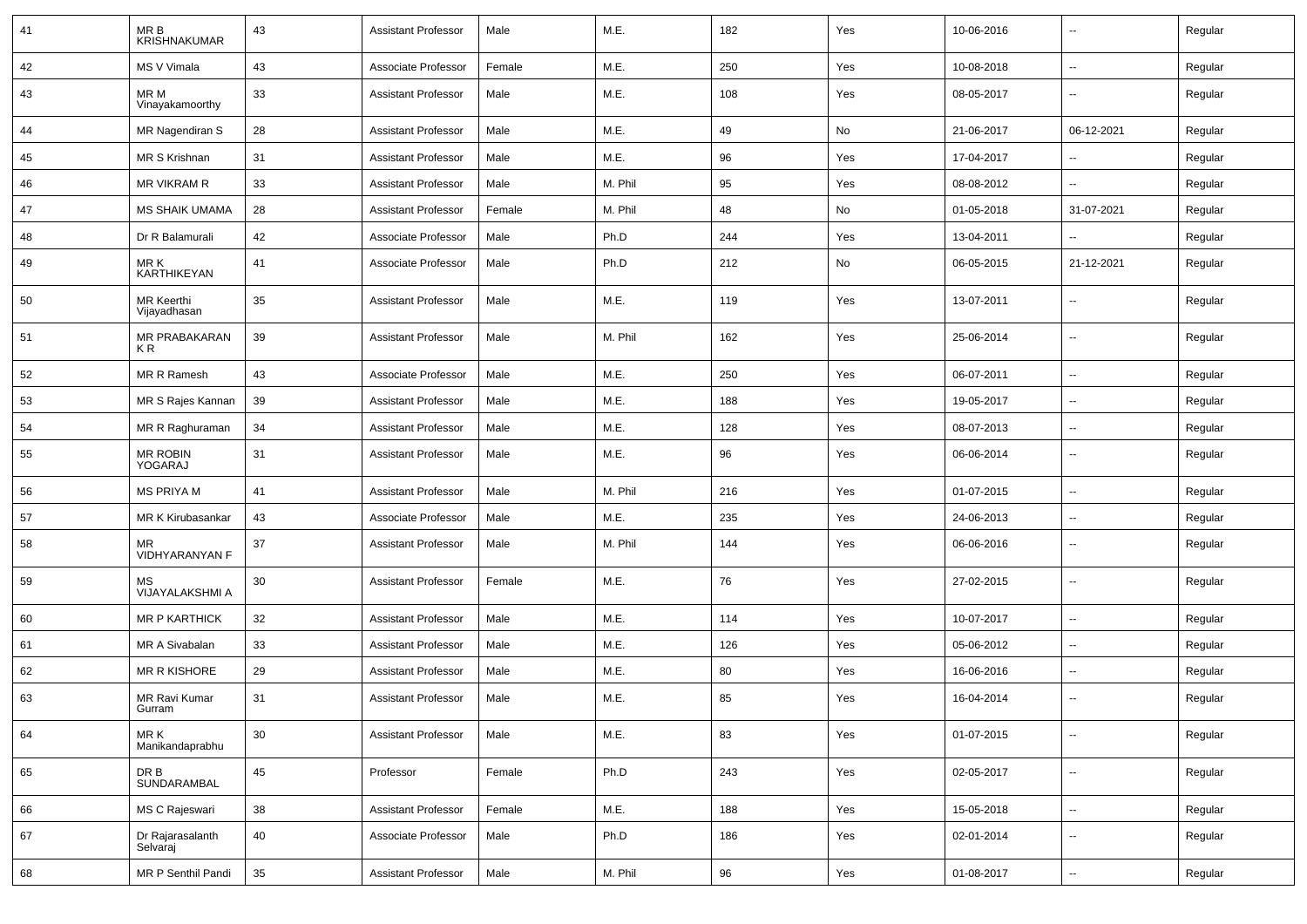| 41 | MR B<br><b>KRISHNAKUMAR</b>  | 43     | <b>Assistant Professor</b> | Male   | M.E.    | 182 | Yes | 10-06-2016 | $\overline{\phantom{a}}$ | Regular |
|----|------------------------------|--------|----------------------------|--------|---------|-----|-----|------------|--------------------------|---------|
| 42 | MS V Vimala                  | 43     | Associate Professor        | Female | M.E.    | 250 | Yes | 10-08-2018 | $\sim$                   | Regular |
| 43 | MR M<br>Vinayakamoorthy      | 33     | <b>Assistant Professor</b> | Male   | M.E.    | 108 | Yes | 08-05-2017 | --                       | Regular |
| 44 | MR Nagendiran S              | 28     | <b>Assistant Professor</b> | Male   | M.E.    | 49  | No  | 21-06-2017 | 06-12-2021               | Regular |
| 45 | MR S Krishnan                | 31     | <b>Assistant Professor</b> | Male   | M.E.    | 96  | Yes | 17-04-2017 |                          | Regular |
| 46 | MR VIKRAM R                  | 33     | <b>Assistant Professor</b> | Male   | M. Phil | 95  | Yes | 08-08-2012 | $\overline{a}$           | Regular |
| 47 | <b>MS SHAIK UMAMA</b>        | 28     | <b>Assistant Professor</b> | Female | M. Phil | 48  | No  | 01-05-2018 | 31-07-2021               | Regular |
| 48 | Dr R Balamurali              | 42     | Associate Professor        | Male   | Ph.D    | 244 | Yes | 13-04-2011 | $\overline{\phantom{a}}$ | Regular |
| 49 | MR K<br>KARTHIKEYAN          | 41     | Associate Professor        | Male   | Ph.D    | 212 | No  | 06-05-2015 | 21-12-2021               | Regular |
| 50 | MR Keerthi<br>Vijayadhasan   | 35     | <b>Assistant Professor</b> | Male   | M.E.    | 119 | Yes | 13-07-2011 | $\overline{\phantom{a}}$ | Regular |
| 51 | MR PRABAKARAN<br>KR          | 39     | <b>Assistant Professor</b> | Male   | M. Phil | 162 | Yes | 25-06-2014 | $\sim$                   | Regular |
| 52 | MR R Ramesh                  | 43     | Associate Professor        | Male   | M.E.    | 250 | Yes | 06-07-2011 | $\sim$                   | Regular |
| 53 | MR S Rajes Kannan            | 39     | <b>Assistant Professor</b> | Male   | M.E.    | 188 | Yes | 19-05-2017 | --                       | Regular |
| 54 | MR R Raghuraman              | 34     | <b>Assistant Professor</b> | Male   | M.E.    | 128 | Yes | 08-07-2013 | -−                       | Regular |
| 55 | MR ROBIN<br>YOGARAJ          | 31     | <b>Assistant Professor</b> | Male   | M.E.    | 96  | Yes | 06-06-2014 | $\overline{\phantom{a}}$ | Regular |
| 56 | <b>MS PRIYA M</b>            | 41     | <b>Assistant Professor</b> | Male   | M. Phil | 216 | Yes | 01-07-2015 | $\overline{\phantom{a}}$ | Regular |
| 57 | MR K Kirubasankar            | 43     | Associate Professor        | Male   | M.E.    | 235 | Yes | 24-06-2013 | -−                       | Regular |
| 58 | ΜR<br>VIDHYARANYAN F         | 37     | <b>Assistant Professor</b> | Male   | M. Phil | 144 | Yes | 06-06-2016 | $\sim$                   | Regular |
| 59 | МS<br>VIJAYALAKSHMI A        | 30     | <b>Assistant Professor</b> | Female | M.E.    | 76  | Yes | 27-02-2015 | $\sim$                   | Regular |
| 60 | <b>MR P KARTHICK</b>         | 32     | <b>Assistant Professor</b> | Male   | M.E.    | 114 | Yes | 10-07-2017 | Ξ.                       | Regular |
| 61 | MR A Sivabalan               | 33     | <b>Assistant Professor</b> | Male   | M.E.    | 126 | Yes | 05-06-2012 | $\overline{\phantom{a}}$ | Regular |
| 62 | MR R KISHORE                 | 29     | <b>Assistant Professor</b> | Male   | M.E.    | 80  | Yes | 16-06-2016 | $\overline{\phantom{a}}$ | Regular |
| 63 | MR Ravi Kumar<br>Gurram      | 31     | <b>Assistant Professor</b> | Male   | M.E.    | 85  | Yes | 16-04-2014 | --                       | Regular |
| 64 | MR K<br>Manikandaprabhu      | 30     | <b>Assistant Professor</b> | Male   | M.E.    | 83  | Yes | 01-07-2015 | ш,                       | Regular |
| 65 | DR B<br>SUNDARAMBAL          | 45     | Professor                  | Female | Ph.D    | 243 | Yes | 02-05-2017 | $\sim$                   | Regular |
| 66 | MS C Rajeswari               | 38     | <b>Assistant Professor</b> | Female | M.E.    | 188 | Yes | 15-05-2018 | $\sim$                   | Regular |
| 67 | Dr Rajarasalanth<br>Selvaraj | 40     | Associate Professor        | Male   | Ph.D    | 186 | Yes | 02-01-2014 | ⊷.                       | Regular |
| 68 | MR P Senthil Pandi           | $35\,$ | <b>Assistant Professor</b> | Male   | M. Phil | 96  | Yes | 01-08-2017 | $\sim$                   | Regular |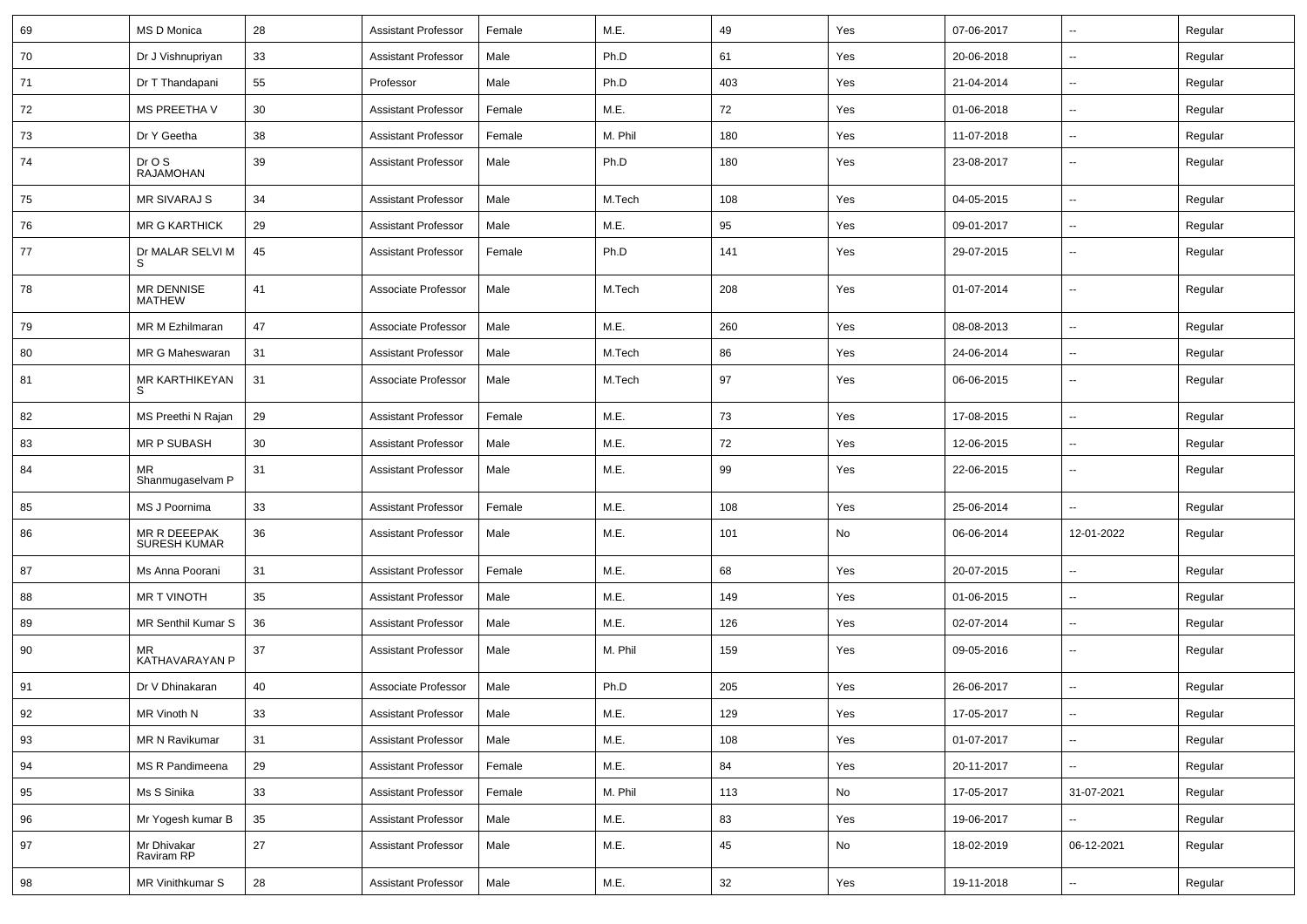| 69 | MS D Monica                         | 28 | <b>Assistant Professor</b> | Female | M.E.    | 49  | Yes | 07-06-2017 | $\sim$                   | Regular |
|----|-------------------------------------|----|----------------------------|--------|---------|-----|-----|------------|--------------------------|---------|
| 70 | Dr J Vishnupriyan                   | 33 | <b>Assistant Professor</b> | Male   | Ph.D    | 61  | Yes | 20-06-2018 | $\sim$                   | Regular |
| 71 | Dr T Thandapani                     | 55 | Professor                  | Male   | Ph.D    | 403 | Yes | 21-04-2014 | $\overline{\phantom{a}}$ | Regular |
| 72 | <b>MS PREETHA V</b>                 | 30 | <b>Assistant Professor</b> | Female | M.E.    | 72  | Yes | 01-06-2018 | $\overline{\phantom{a}}$ | Regular |
| 73 | Dr Y Geetha                         | 38 | <b>Assistant Professor</b> | Female | M. Phil | 180 | Yes | 11-07-2018 | $\overline{\phantom{a}}$ | Regular |
| 74 | Dr O S<br><b>RAJAMOHAN</b>          | 39 | <b>Assistant Professor</b> | Male   | Ph.D    | 180 | Yes | 23-08-2017 | $\sim$                   | Regular |
| 75 | <b>MR SIVARAJ S</b>                 | 34 | <b>Assistant Professor</b> | Male   | M.Tech  | 108 | Yes | 04-05-2015 | $\sim$                   | Regular |
| 76 | <b>MR G KARTHICK</b>                | 29 | <b>Assistant Professor</b> | Male   | M.E.    | 95  | Yes | 09-01-2017 | $\sim$                   | Regular |
| 77 | Dr MALAR SELVI M                    | 45 | <b>Assistant Professor</b> | Female | Ph.D    | 141 | Yes | 29-07-2015 | $\sim$                   | Regular |
| 78 | MR DENNISE<br><b>MATHEW</b>         | 41 | Associate Professor        | Male   | M.Tech  | 208 | Yes | 01-07-2014 | $\sim$                   | Regular |
| 79 | MR M Ezhilmaran                     | 47 | Associate Professor        | Male   | M.E.    | 260 | Yes | 08-08-2013 | $\sim$                   | Regular |
| 80 | MR G Maheswaran                     | 31 | <b>Assistant Professor</b> | Male   | M.Tech  | 86  | Yes | 24-06-2014 | $\sim$                   | Regular |
| 81 | MR KARTHIKEYAN                      | 31 | Associate Professor        | Male   | M.Tech  | 97  | Yes | 06-06-2015 | $\sim$                   | Regular |
| 82 | MS Preethi N Rajan                  | 29 | <b>Assistant Professor</b> | Female | M.E.    | 73  | Yes | 17-08-2015 | $\overline{\phantom{a}}$ | Regular |
| 83 | MR P SUBASH                         | 30 | <b>Assistant Professor</b> | Male   | M.E.    | 72  | Yes | 12-06-2015 | $\sim$                   | Regular |
| 84 | MR<br>Shanmugaselvam P              | 31 | <b>Assistant Professor</b> | Male   | M.E.    | 99  | Yes | 22-06-2015 | $\overline{\phantom{a}}$ | Regular |
| 85 | MS J Poornima                       | 33 | <b>Assistant Professor</b> | Female | M.E.    | 108 | Yes | 25-06-2014 |                          | Regular |
| 86 | MR R DEEEPAK<br><b>SURESH KUMAR</b> | 36 | <b>Assistant Professor</b> | Male   | M.E.    | 101 | No  | 06-06-2014 | 12-01-2022               | Regular |
| 87 | Ms Anna Poorani                     | 31 | <b>Assistant Professor</b> | Female | M.E.    | 68  | Yes | 20-07-2015 | $\sim$                   | Regular |
| 88 | <b>MR T VINOTH</b>                  | 35 | <b>Assistant Professor</b> | Male   | M.E.    | 149 | Yes | 01-06-2015 | $\sim$                   | Regular |
| 89 | MR Senthil Kumar S                  | 36 | <b>Assistant Professor</b> | Male   | M.E.    | 126 | Yes | 02-07-2014 | $\sim$                   | Regular |
| 90 | MR<br>KATHAVARAYAN P                | 37 | <b>Assistant Professor</b> | Male   | M. Phil | 159 | Yes | 09-05-2016 | $\overline{\phantom{a}}$ | Regular |
| 91 | Dr V Dhinakaran                     | 40 | Associate Professor        | Male   | Ph.D    | 205 | Yes | 26-06-2017 | Щ,                       | Regular |
| 92 | MR Vinoth N                         | 33 | Assistant Professor        | Male   | M.E.    | 129 | Yes | 17-05-2017 | −−                       | Regular |
| 93 | MR N Ravikumar                      | 31 | <b>Assistant Professor</b> | Male   | M.E.    | 108 | Yes | 01-07-2017 | $\sim$                   | Regular |
| 94 | MS R Pandimeena                     | 29 | <b>Assistant Professor</b> | Female | M.E.    | 84  | Yes | 20-11-2017 | $\sim$                   | Regular |
| 95 | Ms S Sinika                         | 33 | <b>Assistant Professor</b> | Female | M. Phil | 113 | No  | 17-05-2017 | 31-07-2021               | Regular |
| 96 | Mr Yogesh kumar B                   | 35 | <b>Assistant Professor</b> | Male   | M.E.    | 83  | Yes | 19-06-2017 | $\sim$                   | Regular |
| 97 | Mr Dhivakar<br>Raviram RP           | 27 | <b>Assistant Professor</b> | Male   | M.E.    | 45  | No  | 18-02-2019 | 06-12-2021               | Regular |
| 98 | MR Vinithkumar S                    | 28 | <b>Assistant Professor</b> | Male   | M.E.    | 32  | Yes | 19-11-2018 | $\overline{\phantom{a}}$ | Regular |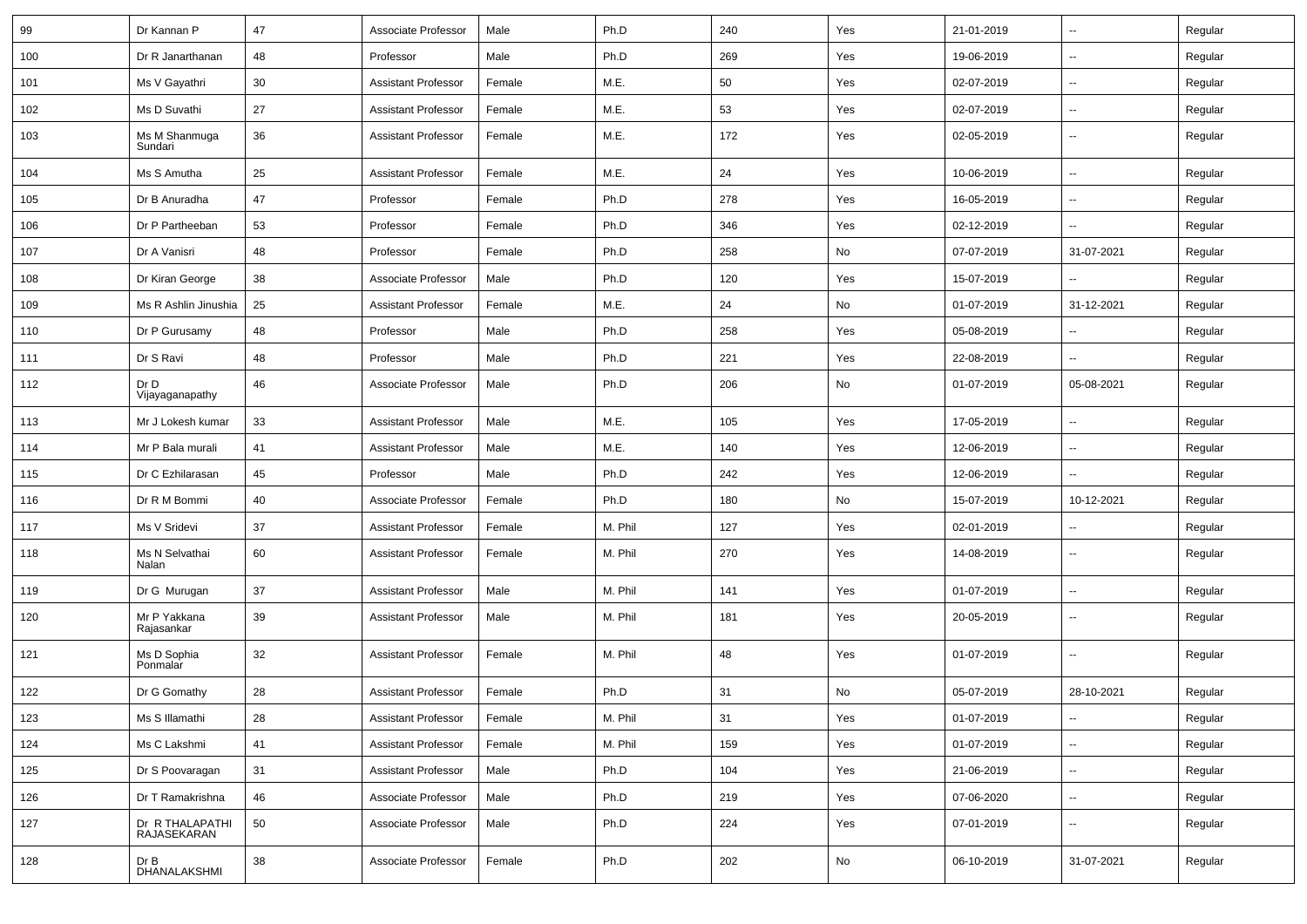| 99  | Dr Kannan P                    | 47 | Associate Professor        | Male   | Ph.D    | 240 | Yes | 21-01-2019 | $\overline{\phantom{a}}$ | Regular |
|-----|--------------------------------|----|----------------------------|--------|---------|-----|-----|------------|--------------------------|---------|
| 100 | Dr R Janarthanan               | 48 | Professor                  | Male   | Ph.D    | 269 | Yes | 19-06-2019 | --                       | Regular |
| 101 | Ms V Gayathri                  | 30 | <b>Assistant Professor</b> | Female | M.E.    | 50  | Yes | 02-07-2019 | $\overline{\phantom{a}}$ | Regular |
| 102 | Ms D Suvathi                   | 27 | <b>Assistant Professor</b> | Female | M.E.    | 53  | Yes | 02-07-2019 | $\overline{\phantom{a}}$ | Regular |
| 103 | Ms M Shanmuga<br>Sundari       | 36 | <b>Assistant Professor</b> | Female | M.E.    | 172 | Yes | 02-05-2019 | --                       | Regular |
| 104 | Ms S Amutha                    | 25 | <b>Assistant Professor</b> | Female | M.E.    | 24  | Yes | 10-06-2019 | Ξ.                       | Regular |
| 105 | Dr B Anuradha                  | 47 | Professor                  | Female | Ph.D    | 278 | Yes | 16-05-2019 | $\overline{\phantom{a}}$ | Regular |
| 106 | Dr P Partheeban                | 53 | Professor                  | Female | Ph.D    | 346 | Yes | 02-12-2019 | $\sim$                   | Regular |
| 107 | Dr A Vanisri                   | 48 | Professor                  | Female | Ph.D    | 258 | No  | 07-07-2019 | 31-07-2021               | Regular |
| 108 | Dr Kiran George                | 38 | Associate Professor        | Male   | Ph.D    | 120 | Yes | 15-07-2019 | $\overline{\phantom{a}}$ | Regular |
| 109 | Ms R Ashlin Jinushia           | 25 | <b>Assistant Professor</b> | Female | M.E.    | 24  | No  | 01-07-2019 | 31-12-2021               | Regular |
| 110 | Dr P Gurusamy                  | 48 | Professor                  | Male   | Ph.D    | 258 | Yes | 05-08-2019 |                          | Regular |
| 111 | Dr S Ravi                      | 48 | Professor                  | Male   | Ph.D    | 221 | Yes | 22-08-2019 | $\sim$                   | Regular |
| 112 | Dr D<br>Vijayaganapathy        | 46 | Associate Professor        | Male   | Ph.D    | 206 | No  | 01-07-2019 | 05-08-2021               | Regular |
| 113 | Mr J Lokesh kumar              | 33 | <b>Assistant Professor</b> | Male   | M.E.    | 105 | Yes | 17-05-2019 | $\sim$                   | Regular |
| 114 | Mr P Bala murali               | 41 | <b>Assistant Professor</b> | Male   | M.E.    | 140 | Yes | 12-06-2019 | $\overline{\phantom{a}}$ | Regular |
| 115 | Dr C Ezhilarasan               | 45 | Professor                  | Male   | Ph.D    | 242 | Yes | 12-06-2019 | $\overline{\phantom{a}}$ | Regular |
| 116 | Dr R M Bommi                   | 40 | Associate Professor        | Female | Ph.D    | 180 | No  | 15-07-2019 | 10-12-2021               | Regular |
| 117 | Ms V Sridevi                   | 37 | <b>Assistant Professor</b> | Female | M. Phil | 127 | Yes | 02-01-2019 |                          | Regular |
| 118 | Ms N Selvathai<br>Nalan        | 60 | <b>Assistant Professor</b> | Female | M. Phil | 270 | Yes | 14-08-2019 | $\overline{\phantom{a}}$ | Regular |
| 119 | Dr G Murugan                   | 37 | <b>Assistant Professor</b> | Male   | M. Phil | 141 | Yes | 01-07-2019 | Ξ.                       | Regular |
| 120 | Mr P Yakkana<br>Rajasankar     | 39 | <b>Assistant Professor</b> | Male   | M. Phil | 181 | Yes | 20-05-2019 | ⊷.                       | Regular |
| 121 | Ms D Sophia<br>Ponmalar        | 32 | <b>Assistant Professor</b> | Female | M. Phil | 48  | Yes | 01-07-2019 | ⊷.                       | Regular |
| 122 | Dr G Gomathy                   | 28 | <b>Assistant Professor</b> | Female | Ph.D    | 31  | No  | 05-07-2019 | 28-10-2021               | Regular |
| 123 | Ms S Illamathi                 | 28 | Assistant Professor        | Female | M. Phil | 31  | Yes | 01-07-2019 | $\sim$                   | Regular |
| 124 | Ms C Lakshmi                   | 41 | <b>Assistant Professor</b> | Female | M. Phil | 159 | Yes | 01-07-2019 | $\sim$                   | Regular |
| 125 | Dr S Poovaragan                | 31 | <b>Assistant Professor</b> | Male   | Ph.D    | 104 | Yes | 21-06-2019 | Ξ.                       | Regular |
| 126 | Dr T Ramakrishna               | 46 | Associate Professor        | Male   | Ph.D    | 219 | Yes | 07-06-2020 | Щ,                       | Regular |
| 127 | Dr R THALAPATHI<br>RAJASEKARAN | 50 | Associate Professor        | Male   | Ph.D    | 224 | Yes | 07-01-2019 | $\sim$                   | Regular |
| 128 | Dr B<br>DHANALAKSHMI           | 38 | Associate Professor        | Female | Ph.D    | 202 | No  | 06-10-2019 | 31-07-2021               | Regular |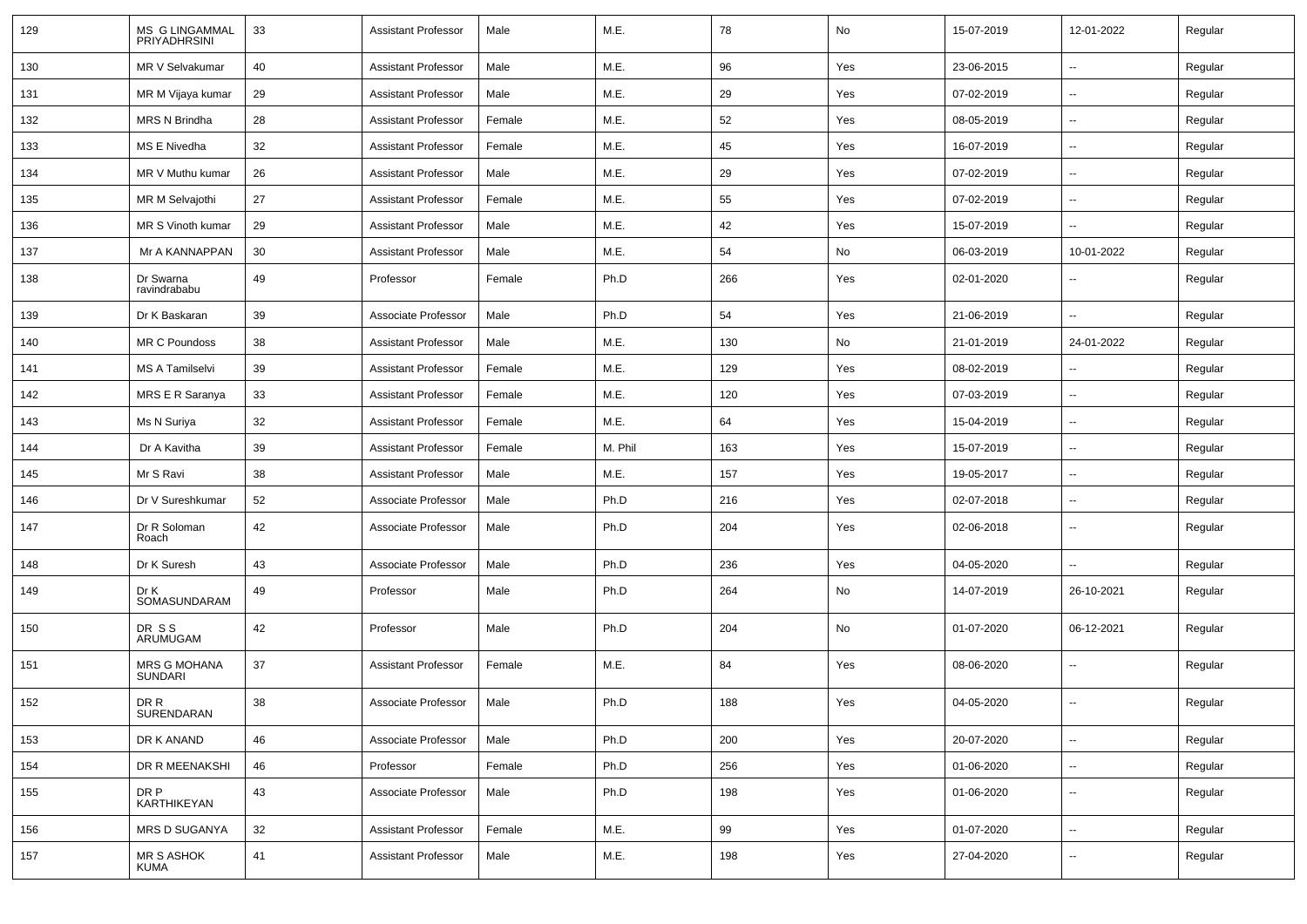| 129 | MS G LINGAMMAL<br>PRIYADHRSINI        | 33 | <b>Assistant Professor</b> | Male   | M.E.    | 78  | No  | 15-07-2019 | 12-01-2022               | Regular |
|-----|---------------------------------------|----|----------------------------|--------|---------|-----|-----|------------|--------------------------|---------|
| 130 | MR V Selvakumar                       | 40 | <b>Assistant Professor</b> | Male   | M.E.    | 96  | Yes | 23-06-2015 | ⊷.                       | Regular |
| 131 | MR M Vijaya kumar                     | 29 | <b>Assistant Professor</b> | Male   | M.E.    | 29  | Yes | 07-02-2019 | $\sim$                   | Regular |
| 132 | <b>MRS N Brindha</b>                  | 28 | <b>Assistant Professor</b> | Female | M.E.    | 52  | Yes | 08-05-2019 | $\sim$                   | Regular |
| 133 | MS E Nivedha                          | 32 | <b>Assistant Professor</b> | Female | M.E.    | 45  | Yes | 16-07-2019 | $\sim$                   | Regular |
| 134 | MR V Muthu kumar                      | 26 | <b>Assistant Professor</b> | Male   | M.E.    | 29  | Yes | 07-02-2019 | $\sim$                   | Regular |
| 135 | MR M Selvajothi                       | 27 | <b>Assistant Professor</b> | Female | M.E.    | 55  | Yes | 07-02-2019 | $\sim$                   | Regular |
| 136 | MR S Vinoth kumar                     | 29 | <b>Assistant Professor</b> | Male   | M.E.    | 42  | Yes | 15-07-2019 | ⊷.                       | Regular |
| 137 | Mr A KANNAPPAN                        | 30 | <b>Assistant Professor</b> | Male   | M.E.    | 54  | No  | 06-03-2019 | 10-01-2022               | Regular |
| 138 | Dr Swarna<br>ravindrababu             | 49 | Professor                  | Female | Ph.D    | 266 | Yes | 02-01-2020 | $\overline{\phantom{a}}$ | Regular |
| 139 | Dr K Baskaran                         | 39 | Associate Professor        | Male   | Ph.D    | 54  | Yes | 21-06-2019 | $\overline{\phantom{a}}$ | Regular |
| 140 | MR C Poundoss                         | 38 | <b>Assistant Professor</b> | Male   | M.E.    | 130 | No  | 21-01-2019 | 24-01-2022               | Regular |
| 141 | MS A Tamilselvi                       | 39 | <b>Assistant Professor</b> | Female | M.E.    | 129 | Yes | 08-02-2019 | $\sim$                   | Regular |
| 142 | MRS E R Saranya                       | 33 | <b>Assistant Professor</b> | Female | M.E.    | 120 | Yes | 07-03-2019 | $\sim$                   | Regular |
| 143 | Ms N Suriya                           | 32 | <b>Assistant Professor</b> | Female | M.E.    | 64  | Yes | 15-04-2019 | $\sim$                   | Regular |
| 144 | Dr A Kavitha                          | 39 | <b>Assistant Professor</b> | Female | M. Phil | 163 | Yes | 15-07-2019 | $\sim$                   | Regular |
| 145 | Mr S Ravi                             | 38 | <b>Assistant Professor</b> | Male   | M.E.    | 157 | Yes | 19-05-2017 | $\sim$                   | Regular |
| 146 | Dr V Sureshkumar                      | 52 | Associate Professor        | Male   | Ph.D    | 216 | Yes | 02-07-2018 | $\overline{\phantom{a}}$ | Regular |
| 147 | Dr R Soloman<br>Roach                 | 42 | Associate Professor        | Male   | Ph.D    | 204 | Yes | 02-06-2018 | $\sim$                   | Regular |
| 148 | Dr K Suresh                           | 43 | Associate Professor        | Male   | Ph.D    | 236 | Yes | 04-05-2020 | $\sim$                   | Regular |
| 149 | Dr K<br>SOMASUNDARAM                  | 49 | Professor                  | Male   | Ph.D    | 264 | No  | 14-07-2019 | 26-10-2021               | Regular |
| 150 | DR SS<br>ARUMUGAM                     | 42 | Professor                  | Male   | Ph.D    | 204 | No  | 01-07-2020 | 06-12-2021               | Regular |
| 151 | <b>MRS G MOHANA</b><br><b>SUNDARI</b> | 37 | <b>Assistant Professor</b> | Female | M.E.    | 84  | Yes | 08-06-2020 | $\sim$                   | Regular |
| 152 | DR R<br>SURENDARAN                    | 38 | Associate Professor        | Male   | Ph.D    | 188 | Yes | 04-05-2020 | $\overline{\phantom{a}}$ | Regular |
| 153 | DR K ANAND                            | 46 | Associate Professor        | Male   | Ph.D    | 200 | Yes | 20-07-2020 | $\sim$                   | Regular |
| 154 | DR R MEENAKSHI                        | 46 | Professor                  | Female | Ph.D    | 256 | Yes | 01-06-2020 | $\sim$                   | Regular |
| 155 | DR P<br>KARTHIKEYAN                   | 43 | Associate Professor        | Male   | Ph.D    | 198 | Yes | 01-06-2020 | $\sim$                   | Regular |
| 156 | <b>MRS D SUGANYA</b>                  | 32 | <b>Assistant Professor</b> | Female | M.E.    | 99  | Yes | 01-07-2020 | $\sim$                   | Regular |
| 157 | MR S ASHOK<br>KUMA                    | 41 | Assistant Professor        | Male   | M.E.    | 198 | Yes | 27-04-2020 | $\sim$                   | Regular |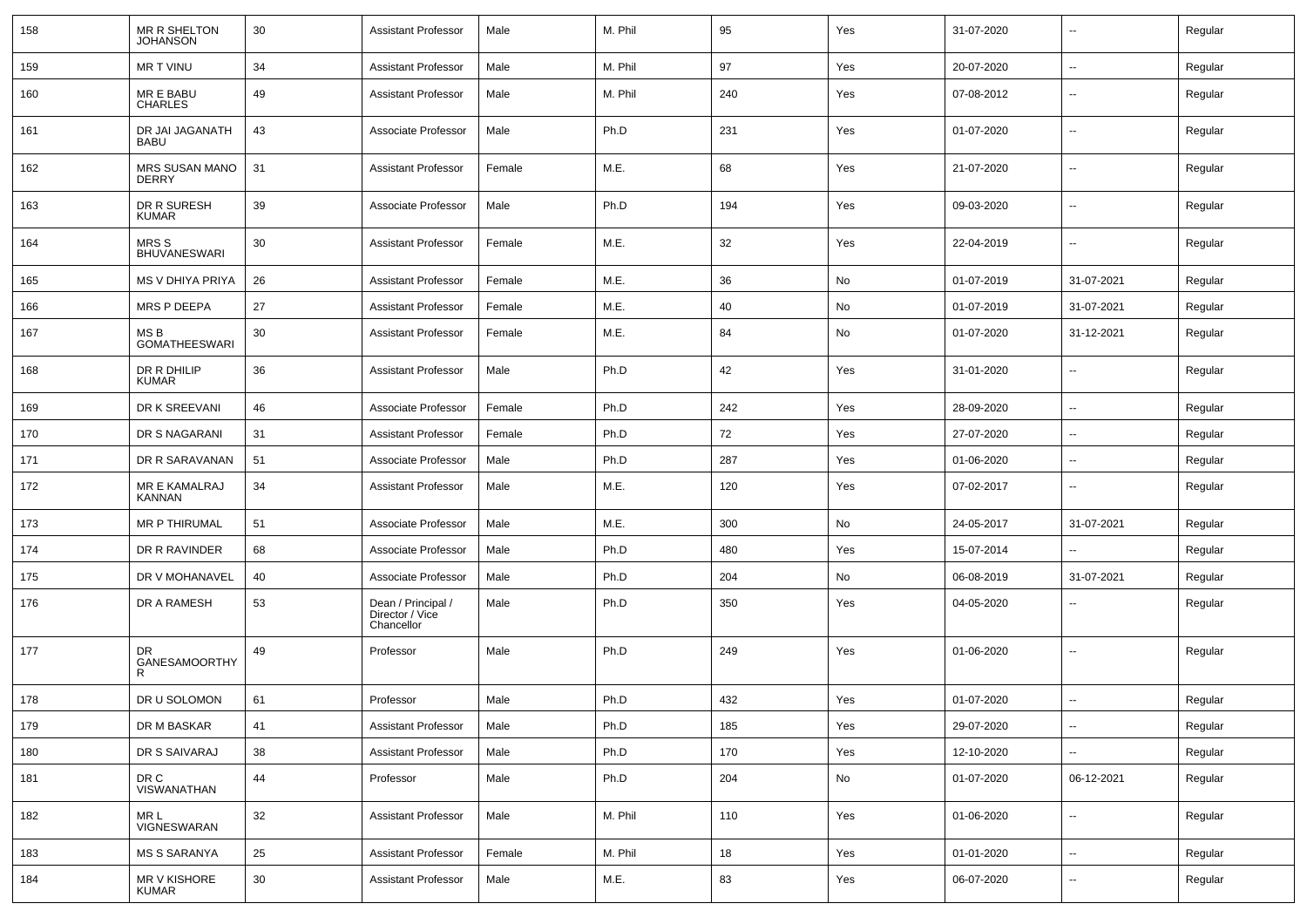| 158 | MR R SHELTON<br><b>JOHANSON</b> | 30 | <b>Assistant Professor</b>                          | Male   | M. Phil | 95  | Yes | 31-07-2020 | $\overline{\phantom{a}}$ | Regular |
|-----|---------------------------------|----|-----------------------------------------------------|--------|---------|-----|-----|------------|--------------------------|---------|
| 159 | MR T VINU                       | 34 | <b>Assistant Professor</b>                          | Male   | M. Phil | 97  | Yes | 20-07-2020 | $\sim$                   | Regular |
| 160 | MR E BABU<br><b>CHARLES</b>     | 49 | <b>Assistant Professor</b>                          | Male   | M. Phil | 240 | Yes | 07-08-2012 | $\overline{\phantom{a}}$ | Regular |
| 161 | DR JAI JAGANATH<br><b>BABU</b>  | 43 | Associate Professor                                 | Male   | Ph.D    | 231 | Yes | 01-07-2020 | $\overline{\phantom{a}}$ | Regular |
| 162 | <b>MRS SUSAN MANO</b><br>DERRY  | 31 | <b>Assistant Professor</b>                          | Female | M.E.    | 68  | Yes | 21-07-2020 | $\overline{\phantom{a}}$ | Regular |
| 163 | DR R SURESH<br>KUMAR            | 39 | Associate Professor                                 | Male   | Ph.D    | 194 | Yes | 09-03-2020 | $\overline{\phantom{a}}$ | Regular |
| 164 | MRS S<br><b>BHUVANESWARI</b>    | 30 | <b>Assistant Professor</b>                          | Female | M.E.    | 32  | Yes | 22-04-2019 | $\overline{\phantom{a}}$ | Regular |
| 165 | MS V DHIYA PRIYA                | 26 | <b>Assistant Professor</b>                          | Female | M.E.    | 36  | No  | 01-07-2019 | 31-07-2021               | Regular |
| 166 | MRS P DEEPA                     | 27 | <b>Assistant Professor</b>                          | Female | M.E.    | 40  | No  | 01-07-2019 | 31-07-2021               | Regular |
| 167 | MS B<br><b>GOMATHEESWARI</b>    | 30 | <b>Assistant Professor</b>                          | Female | M.E.    | 84  | No  | 01-07-2020 | 31-12-2021               | Regular |
| 168 | DR R DHILIP<br><b>KUMAR</b>     | 36 | Assistant Professor                                 | Male   | Ph.D    | 42  | Yes | 31-01-2020 | $\overline{\phantom{a}}$ | Regular |
| 169 | DR K SREEVANI                   | 46 | Associate Professor                                 | Female | Ph.D    | 242 | Yes | 28-09-2020 | $\overline{\phantom{a}}$ | Regular |
| 170 | DR S NAGARANI                   | 31 | <b>Assistant Professor</b>                          | Female | Ph.D    | 72  | Yes | 27-07-2020 | $\overline{\phantom{a}}$ | Regular |
| 171 | DR R SARAVANAN                  | 51 | Associate Professor                                 | Male   | Ph.D    | 287 | Yes | 01-06-2020 | $\sim$                   | Regular |
| 172 | MR E KAMALRAJ<br>KANNAN         | 34 | <b>Assistant Professor</b>                          | Male   | M.E.    | 120 | Yes | 07-02-2017 | $\sim$                   | Regular |
| 173 | MR P THIRUMAL                   | 51 | Associate Professor                                 | Male   | M.E.    | 300 | No  | 24-05-2017 | 31-07-2021               | Regular |
| 174 | DR R RAVINDER                   | 68 | Associate Professor                                 | Male   | Ph.D    | 480 | Yes | 15-07-2014 | $\sim$                   | Regular |
| 175 | DR V MOHANAVEL                  | 40 | Associate Professor                                 | Male   | Ph.D    | 204 | No  | 06-08-2019 | 31-07-2021               | Regular |
| 176 | DR A RAMESH                     | 53 | Dean / Principal /<br>Director / Vice<br>Chancellor | Male   | Ph.D    | 350 | Yes | 04-05-2020 | $\overline{\phantom{a}}$ | Regular |
| 177 | DR.<br>GANESAMOORTHY<br>R       | 49 | Professor                                           | Male   | Ph.D    | 249 | Yes | 01-06-2020 | $\overline{\phantom{a}}$ | Regular |
| 178 | DR U SOLOMON                    | 61 | Professor                                           | Male   | Ph.D    | 432 | Yes | 01-07-2020 |                          | Regular |
| 179 | DR M BASKAR                     | 41 | Assistant Professor                                 | Male   | Ph.D    | 185 | Yes | 29-07-2020 | $\overline{\phantom{a}}$ | Regular |
| 180 | DR S SAIVARAJ                   | 38 | <b>Assistant Professor</b>                          | Male   | Ph.D    | 170 | Yes | 12-10-2020 |                          | Regular |
| 181 | DR C<br><b>VISWANATHAN</b>      | 44 | Professor                                           | Male   | Ph.D    | 204 | No  | 01-07-2020 | 06-12-2021               | Regular |
| 182 | MR L<br>VIGNESWARAN             | 32 | <b>Assistant Professor</b>                          | Male   | M. Phil | 110 | Yes | 01-06-2020 | $\overline{\phantom{a}}$ | Regular |
| 183 | <b>MS S SARANYA</b>             | 25 | <b>Assistant Professor</b>                          | Female | M. Phil | 18  | Yes | 01-01-2020 | $\sim$                   | Regular |
| 184 | MR V KISHORE<br><b>KUMAR</b>    | 30 | Assistant Professor                                 | Male   | M.E.    | 83  | Yes | 06-07-2020 | $\sim$                   | Regular |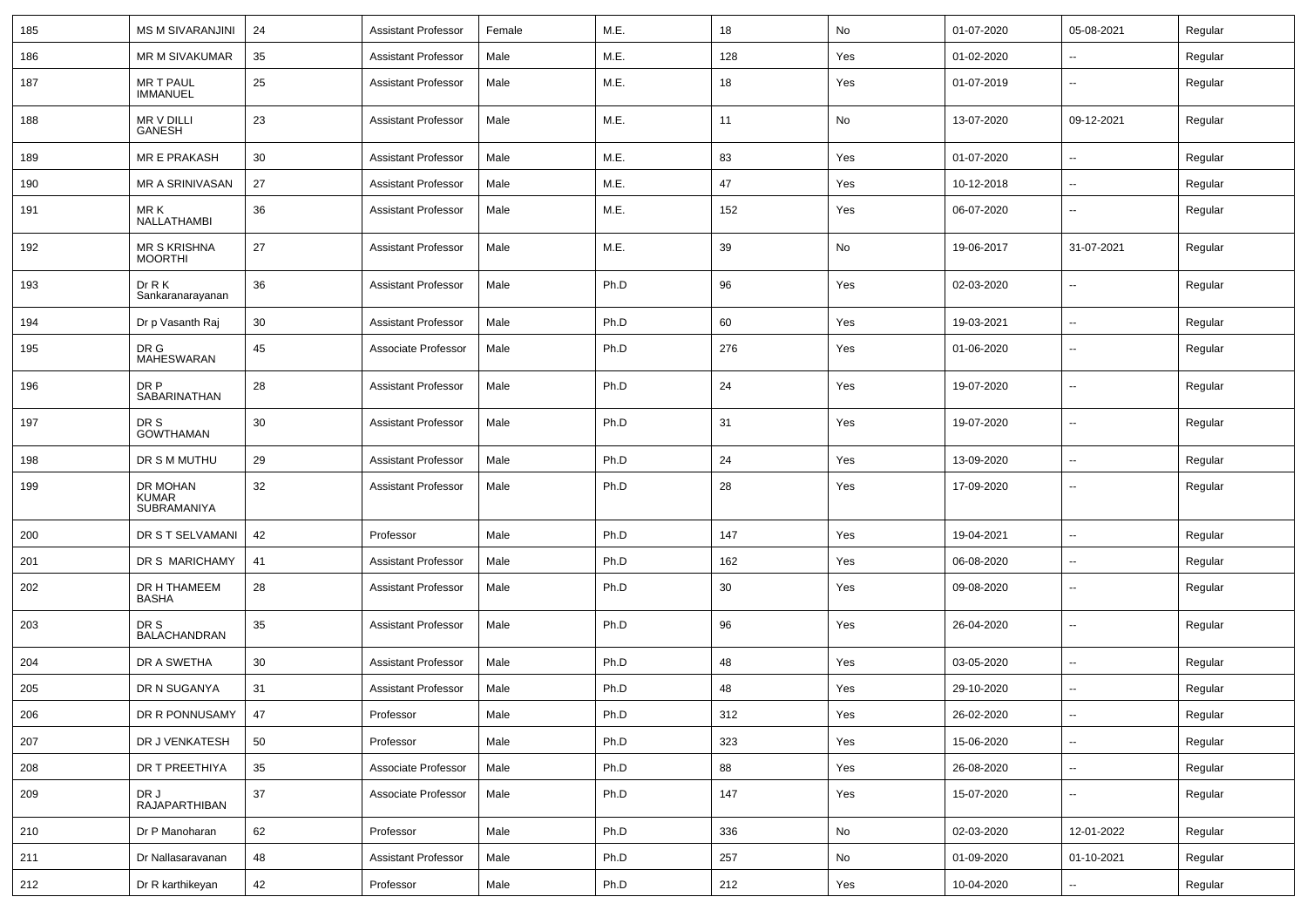| 185 | <b>MS M SIVARANJINI</b>                 | 24     | <b>Assistant Professor</b> | Female | M.E. | 18  | No  | 01-07-2020 | 05-08-2021               | Regular |
|-----|-----------------------------------------|--------|----------------------------|--------|------|-----|-----|------------|--------------------------|---------|
| 186 | MR M SIVAKUMAR                          | 35     | <b>Assistant Professor</b> | Male   | M.E. | 128 | Yes | 01-02-2020 | $\sim$                   | Regular |
| 187 | <b>MR T PAUL</b><br><b>IMMANUEL</b>     | 25     | <b>Assistant Professor</b> | Male   | M.E. | 18  | Yes | 01-07-2019 | $\overline{\phantom{a}}$ | Regular |
| 188 | MR V DILLI<br>GANESH                    | 23     | <b>Assistant Professor</b> | Male   | M.E. | 11  | No  | 13-07-2020 | 09-12-2021               | Regular |
| 189 | MR E PRAKASH                            | 30     | <b>Assistant Professor</b> | Male   | M.E. | 83  | Yes | 01-07-2020 | $\sim$                   | Regular |
| 190 | MR A SRINIVASAN                         | 27     | <b>Assistant Professor</b> | Male   | M.E. | 47  | Yes | 10-12-2018 | $\sim$                   | Regular |
| 191 | MR K<br>NALLATHAMBI                     | 36     | <b>Assistant Professor</b> | Male   | M.E. | 152 | Yes | 06-07-2020 |                          | Regular |
| 192 | <b>MR S KRISHNA</b><br><b>MOORTHI</b>   | 27     | <b>Assistant Professor</b> | Male   | M.E. | 39  | No  | 19-06-2017 | 31-07-2021               | Regular |
| 193 | Dr R K<br>Sankaranarayanan              | 36     | <b>Assistant Professor</b> | Male   | Ph.D | 96  | Yes | 02-03-2020 | ۰.                       | Regular |
| 194 | Dr p Vasanth Raj                        | 30     | <b>Assistant Professor</b> | Male   | Ph.D | 60  | Yes | 19-03-2021 | $\sim$                   | Regular |
| 195 | DR G<br>MAHESWARAN                      | 45     | Associate Professor        | Male   | Ph.D | 276 | Yes | 01-06-2020 | $\sim$                   | Regular |
| 196 | DR P<br>SABARINATHAN                    | 28     | <b>Assistant Professor</b> | Male   | Ph.D | 24  | Yes | 19-07-2020 | $\overline{\phantom{a}}$ | Regular |
| 197 | DR S<br><b>GOWTHAMAN</b>                | 30     | <b>Assistant Professor</b> | Male   | Ph.D | 31  | Yes | 19-07-2020 | $\sim$                   | Regular |
| 198 | DR S M MUTHU                            | 29     | <b>Assistant Professor</b> | Male   | Ph.D | 24  | Yes | 13-09-2020 | $\overline{\phantom{a}}$ | Regular |
| 199 | DR MOHAN<br><b>KUMAR</b><br>SUBRAMANIYA | 32     | <b>Assistant Professor</b> | Male   | Ph.D | 28  | Yes | 17-09-2020 | $\overline{\phantom{a}}$ | Regular |
| 200 | DR S T SELVAMANI                        | 42     | Professor                  | Male   | Ph.D | 147 | Yes | 19-04-2021 | $\overline{\phantom{a}}$ | Regular |
| 201 | DR S MARICHAMY                          | 41     | <b>Assistant Professor</b> | Male   | Ph.D | 162 | Yes | 06-08-2020 | $\sim$                   | Regular |
| 202 | DR H THAMEEM<br>BASHA                   | 28     | <b>Assistant Professor</b> | Male   | Ph.D | 30  | Yes | 09-08-2020 | $\sim$                   | Regular |
| 203 | DR S<br><b>BALACHANDRAN</b>             | 35     | <b>Assistant Professor</b> | Male   | Ph.D | 96  | Yes | 26-04-2020 | $\sim$                   | Regular |
| 204 | DR A SWETHA                             | 30     | <b>Assistant Professor</b> | Male   | Ph.D | 48  | Yes | 03-05-2020 | $\overline{\phantom{a}}$ | Regular |
| 205 | DR N SUGANYA                            | 31     | <b>Assistant Professor</b> | Male   | Ph.D | 48  | Yes | 29-10-2020 | $\sim$                   | Regular |
| 206 | DR R PONNUSAMY   47                     |        | Professor                  | Male   | Ph.D | 312 | Yes | 26-02-2020 | $\overline{\phantom{a}}$ | Regular |
| 207 | DR J VENKATESH                          | 50     | Professor                  | Male   | Ph.D | 323 | Yes | 15-06-2020 | $\sim$                   | Regular |
| 208 | DR T PREETHIYA                          | 35     | Associate Professor        | Male   | Ph.D | 88  | Yes | 26-08-2020 | $\sim$                   | Regular |
| 209 | DR J<br><b>RAJAPARTHIBAN</b>            | $37\,$ | Associate Professor        | Male   | Ph.D | 147 | Yes | 15-07-2020 | $\sim$                   | Regular |
| 210 | Dr P Manoharan                          | 62     | Professor                  | Male   | Ph.D | 336 | No  | 02-03-2020 | 12-01-2022               | Regular |
| 211 | Dr Nallasaravanan                       | 48     | <b>Assistant Professor</b> | Male   | Ph.D | 257 | No  | 01-09-2020 | 01-10-2021               | Regular |
| 212 | Dr R karthikeyan                        | 42     | Professor                  | Male   | Ph.D | 212 | Yes | 10-04-2020 | $\sim$                   | Regular |